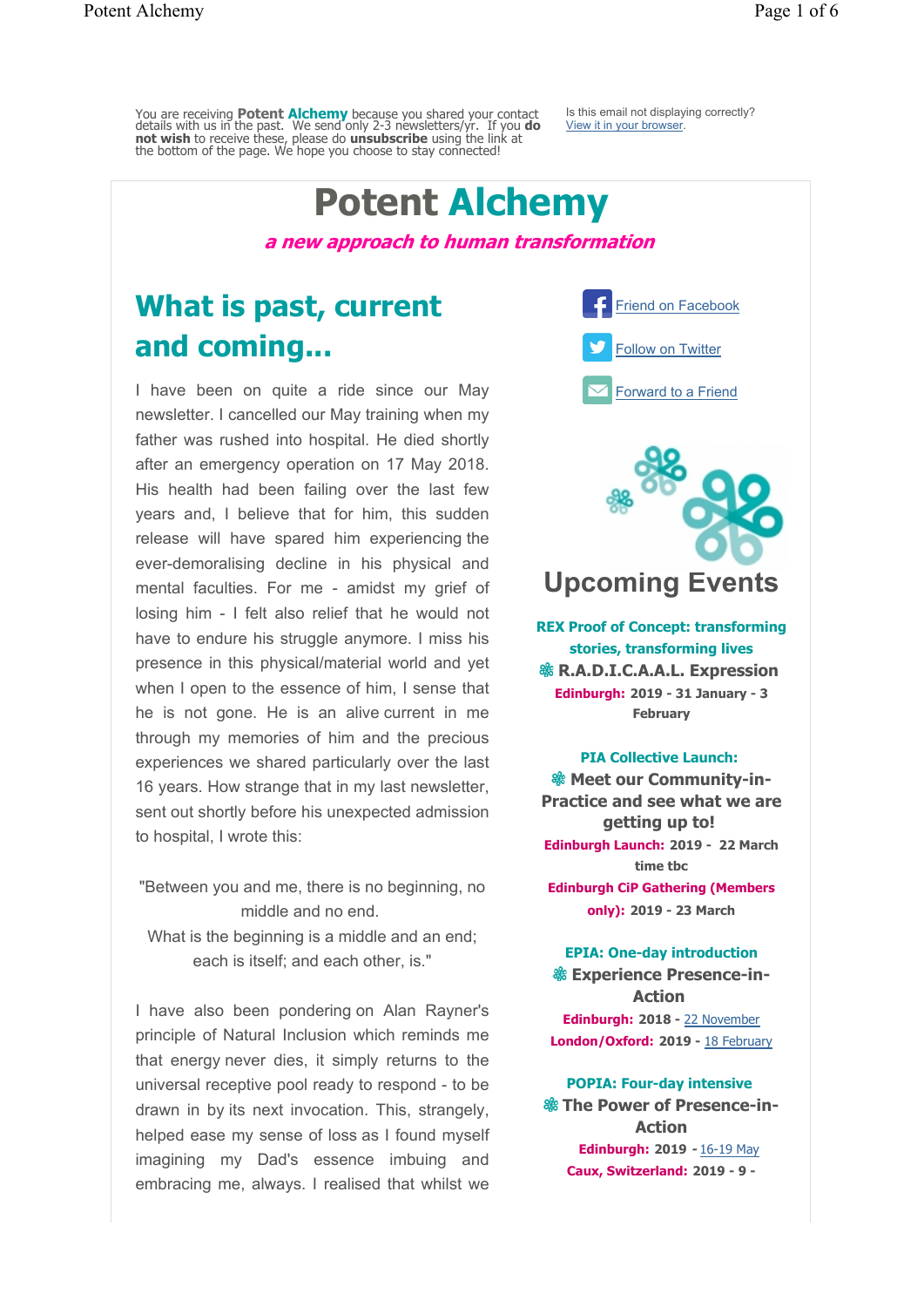You are receiving **Potent Alchemy** because you shared your contact details with us in the past. We send only 2-3 newsletters/yr. If you **do not wish** to receive these, please do **unsubscribe** using the link at the bottom of the page. We hope you choose to stay connected!

Is this email not displaying correctly? View it in your browser.

# **Potent Alchemy**

**a new approach to human transformation**

# **What is past, current and coming...**

I have been on quite a ride since our May newsletter. I cancelled our May training when my father was rushed into hospital. He died shortly after an emergency operation on 17 May 2018. His health had been failing over the last few years and, I believe that for him, this sudden release will have spared him experiencing the ever-demoralising decline in his physical and mental faculties. For me - amidst my grief of losing him - I felt also relief that he would not have to endure his struggle anymore. I miss his presence in this physical/material world and yet when I open to the essence of him, I sense that he is not gone. He is an alive current in me through my memories of him and the precious experiences we shared particularly over the last 16 years. How strange that in my last newsletter, sent out shortly before his unexpected admission to hospital, I wrote this:

"Between you and me, there is no beginning, no middle and no end. What is the beginning is a middle and an end: each is itself; and each other, is."

I have also been pondering on Alan Rayner's principle of Natural Inclusion which reminds me that energy never dies, it simply returns to the universal receptive pool ready to respond - to be drawn in by its next invocation. This, strangely, helped ease my sense of loss as I found myself imagining my Dad's essence imbuing and embracing me, always. I realised that whilst we



## **Upcoming Events**

**REX Proof of Concept: transforming stories, transforming lives & R.A.D.I.C.A.A.L. Expression Edinburgh: 2019 - 31 January - 3 February**

#### **PIA Collective Launch:**

**& Meet our Community-in-Practice and see what we are getting up to! Edinburgh Launch: 2019 - 22 March time tbc**

**Edinburgh CiP Gathering (Members only): 2019 - 23 March**

#### **EPIA: One-day introduction**

**Experience Presence-in-Action Edinburgh: 2018 -** 22 November **London/Oxford: 2019 -** 18 February

**POPIA: Four-day intensive The Power of Presence-in-Action Edinburgh: 2019 -** 16-19 May **Caux, Switzerland: 2019 - 9 -**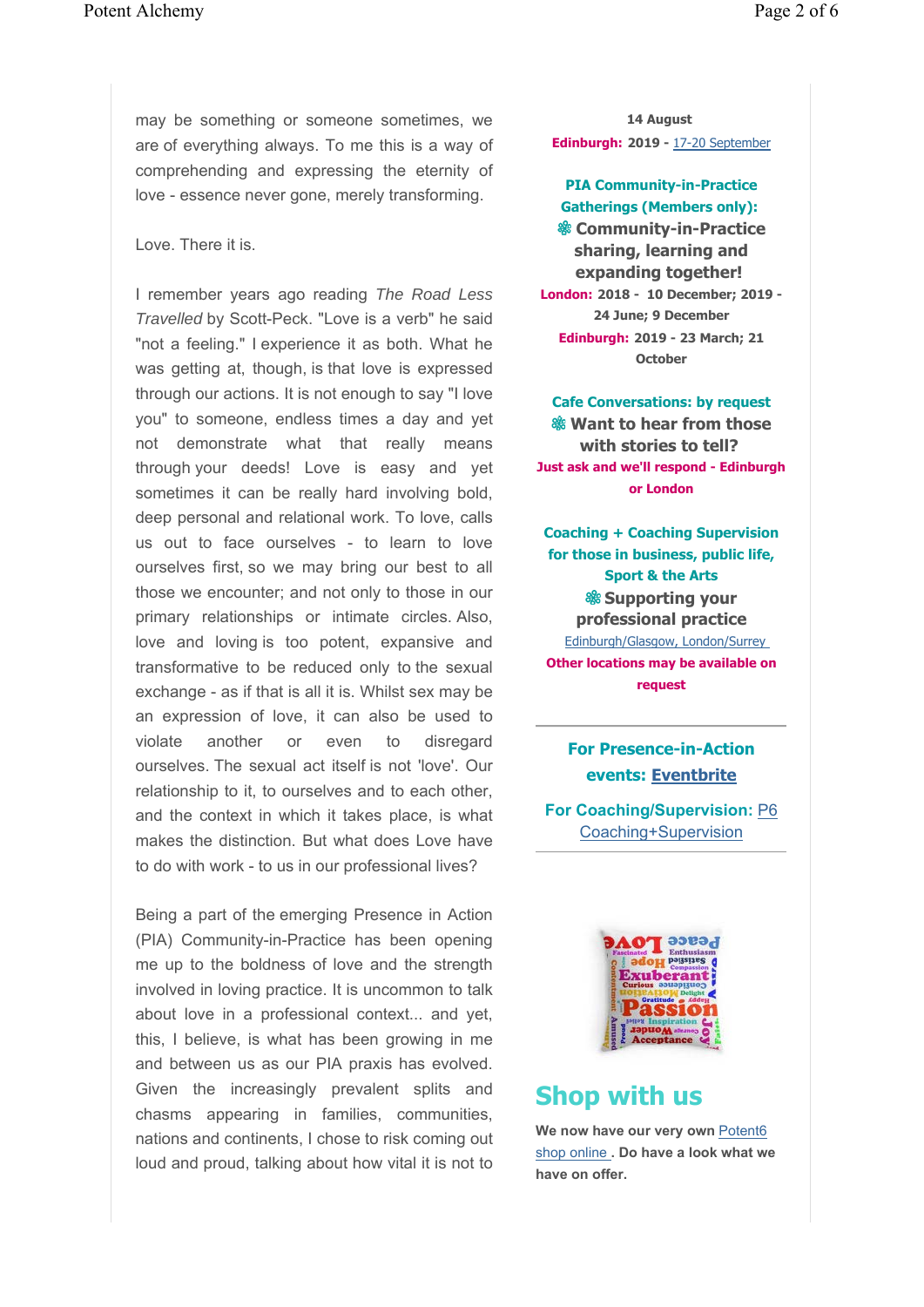may be something or someone sometimes, we are of everything always. To me this is a way of comprehending and expressing the eternity of love - essence never gone, merely transforming.

#### Love. There it is.

I remember years ago reading *The Road Less Travelled* by Scott-Peck. "Love is a verb" he said "not a feeling." I experience it as both. What he was getting at, though, is that love is expressed through our actions. It is not enough to say "I love you" to someone, endless times a day and yet not demonstrate what that really means through your deeds! Love is easy and yet sometimes it can be really hard involving bold, deep personal and relational work. To love, calls us out to face ourselves - to learn to love ourselves first, so we may bring our best to all those we encounter; and not only to those in our primary relationships or intimate circles. Also, love and loving is too potent, expansive and transformative to be reduced only to the sexual exchange - as if that is all it is. Whilst sex may be an expression of love, it can also be used to violate another or even to disregard ourselves. The sexual act itself is not 'love'. Our relationship to it, to ourselves and to each other, and the context in which it takes place, is what makes the distinction. But what does Love have to do with work - to us in our professional lives?

Being a part of the emerging Presence in Action (PIA) Community-in-Practice has been opening me up to the boldness of love and the strength involved in loving practice. It is uncommon to talk about love in a professional context... and yet, this, I believe, is what has been growing in me and between us as our PIA praxis has evolved. Given the increasingly prevalent splits and chasms appearing in families, communities, nations and continents, I chose to risk coming out loud and proud, talking about how vital it is not to

**14 August Edinburgh: 2019 -** 17-20 September

**PIA Community-in-Practice Gatherings (Members only): & Community-in-Practice sharing, learning and expanding together! London: 2018 - 10 December; 2019 - 24 June; 9 December Edinburgh: 2019 - 23 March; 21**

**October**

**Cafe Conversations: by request Want to hear from those with stories to tell? Just ask and we'll respond - Edinburgh or London**

**Coaching + Coaching Supervision for those in business, public life, Sport & the Arts Supporting your professional practice** Edinburgh/Glasgow, London/Surrey **Other locations may be available on request**

> **For Presence-in-Action events: Eventbrite**

**For Coaching/Supervision:** P6 Coaching+Supervision



### **Shop with us**

We now have our very own Potent6 shop online **. Do have a look what we have on offer.**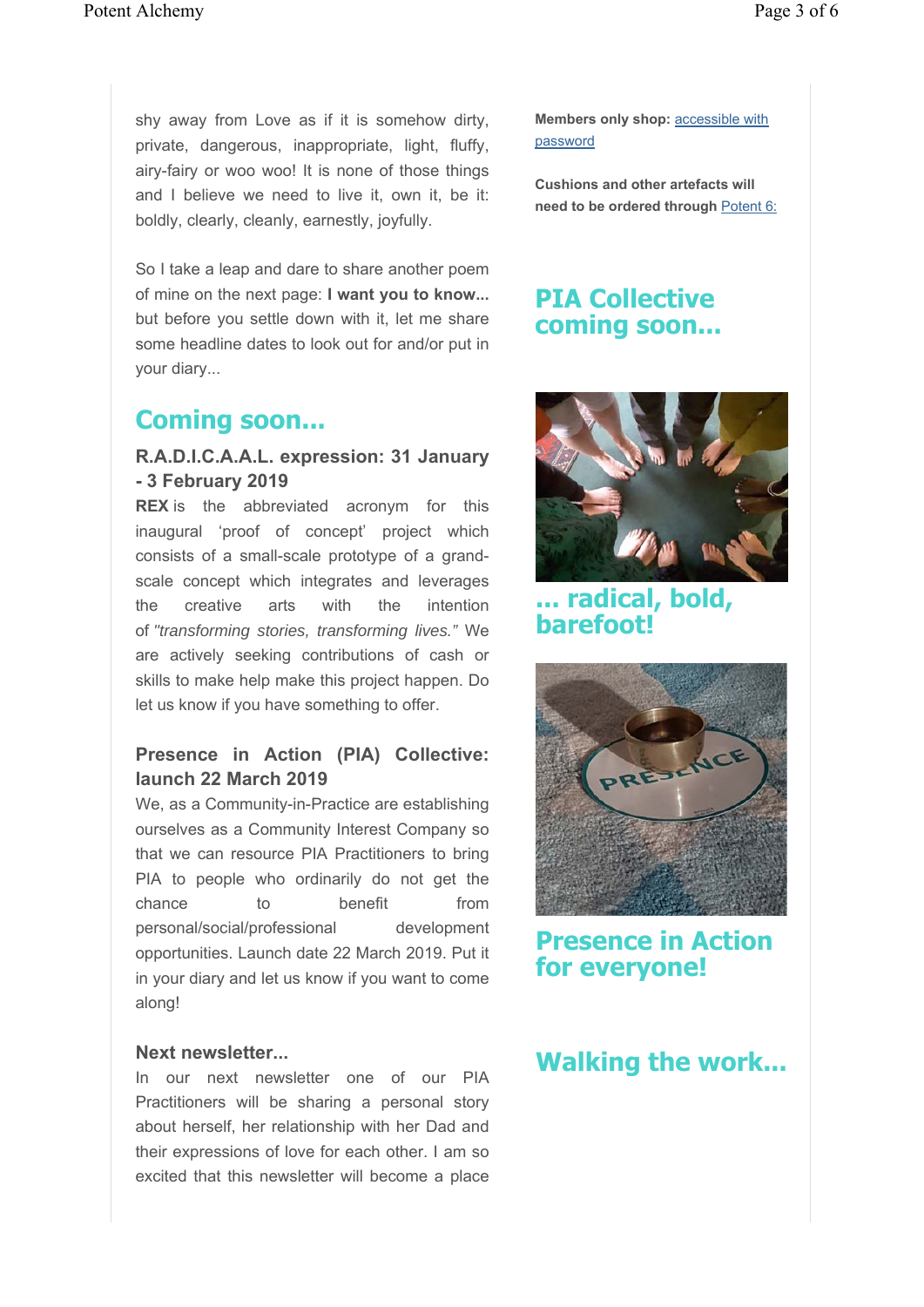shy away from Love as if it is somehow dirty, private, dangerous, inappropriate, light, fluffy, airy-fairy or woo woo! It is none of those things and I believe we need to live it, own it, be it: boldly, clearly, cleanly, earnestly, joyfully.

So I take a leap and dare to share another poem of mine on the next page: **I want you to know...**  but before you settle down with it, let me share some headline dates to look out for and/or put in your diary...

### **Coming soon...**

#### **R.A.D.I.C.A.A.L. expression: 31 January - 3 February 2019**

**REX** is the abbreviated acronym for this inaugural 'proof of concept' project which consists of a small-scale prototype of a grandscale concept which integrates and leverages the creative arts with the intention of *"transforming stories, transforming lives."* We are actively seeking contributions of cash or skills to make help make this project happen. Do let us know if you have something to offer.

#### **Presence in Action (PIA) Collective: launch 22 March 2019**

We, as a Community-in-Practice are establishing ourselves as a Community Interest Company so that we can resource PIA Practitioners to bring PIA to people who ordinarily do not get the chance to benefit from personal/social/professional development opportunities. Launch date 22 March 2019. Put it in your diary and let us know if you want to come along!

#### **Next newsletter...**

In our next newsletter one of our PIA Practitioners will be sharing a personal story about herself, her relationship with her Dad and their expressions of love for each other. I am so excited that this newsletter will become a place

**Members only shop:** accessible with password

**Cushions and other artefacts will need to be ordered through** Potent 6:

## **PIA Collective coming soon...**



**... radical, bold, barefoot!**



**Presence in Action for everyone!**

## **Walking the work...**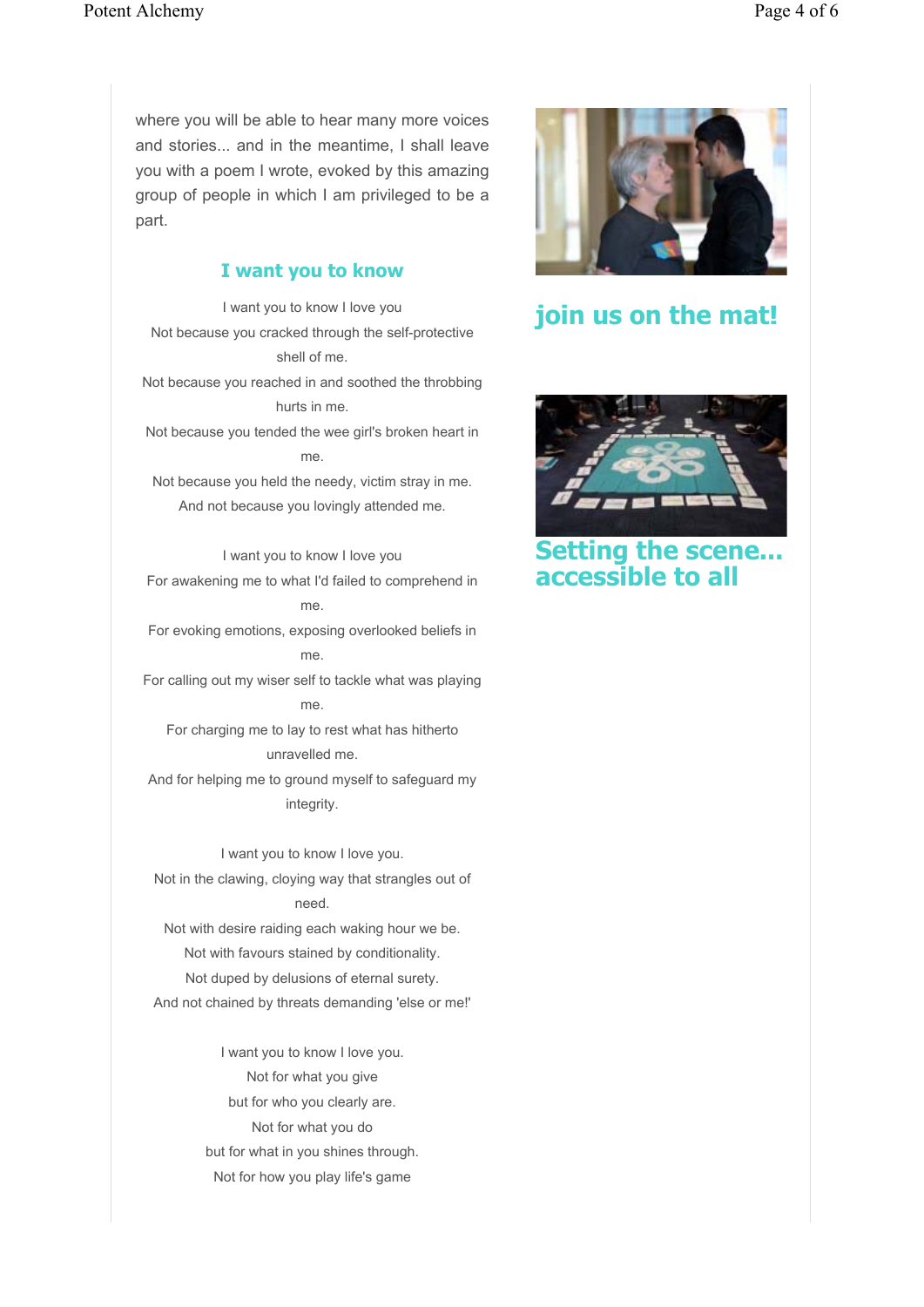where you will be able to hear many more voices and stories... and in the meantime, I shall leave you with a poem I wrote, evoked by this amazing group of people in which I am privileged to be a part.

#### **I want you to know**

I want you to know I love you Not because you cracked through the self-protective shell of me. Not because you reached in and soothed the throbbing hurts in me. Not because you tended the wee girl's broken heart in me. Not because you held the needy, victim stray in me. And not because you lovingly attended me. I want you to know I love you For awakening me to what I'd failed to comprehend in me.

For evoking emotions, exposing overlooked beliefs in me.

For calling out my wiser self to tackle what was playing me.

For charging me to lay to rest what has hitherto unravelled me.

And for helping me to ground myself to safeguard my integrity.

I want you to know I love you. Not in the clawing, cloying way that strangles out of need. Not with desire raiding each waking hour we be.

Not with favours stained by conditionality. Not duped by delusions of eternal surety. And not chained by threats demanding 'else or me!'

> I want you to know I love you. Not for what you give but for who you clearly are. Not for what you do but for what in you shines through. Not for how you play life's game



**join us on the mat!**



**Setting the scene... accessible to all**